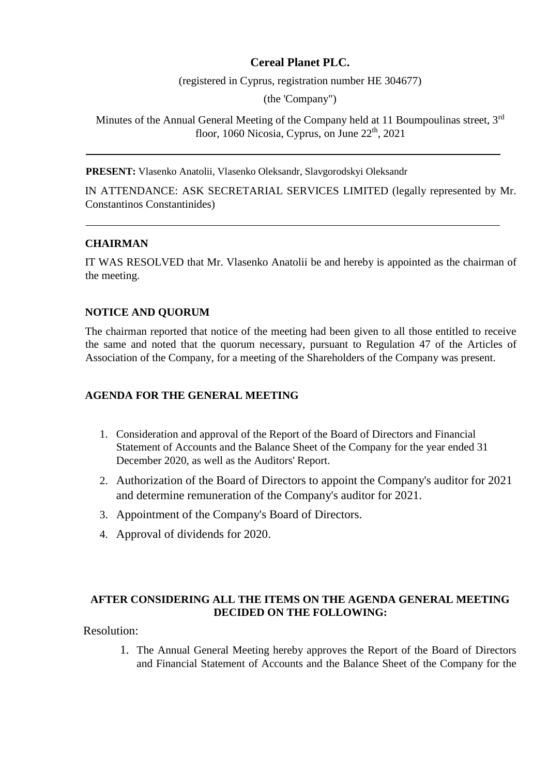# **Cereal Planet PLC.**

(registered in Cyprus, registration number HE 304677)

(the 'Company")

Minutes of the Annual General Meeting of the Company held at 11 Boumpoulinas street, 3<sup>rd</sup> floor, 1060 Nicosia, Cyprus, on June 22<sup>th</sup>, 2021

**PRESENT:** Vlasenko Anatolii, Vlasenko Oleksandr, Slavgorodskyi Oleksandr

IN ATTENDANCE: ASK SECRETARIAL SERVICES LIMITED (legally represented by Mr. Constantinos Constantinides)

## **CHAIRMAN**

IT WAS RESOLVED that Mr. Vlasenko Anatolii be and hereby is appointed as the chairman of the meeting.

#### **NOTICE AND QUORUM**

The chairman reported that notice of the meeting had been given to all those entitled to receive the same and noted that the quorum necessary, pursuant to Regulation 47 of the Articles of Association of the Company, for a meeting of the Shareholders of the Company was present.

#### **AGENDA FOR THE GENERAL MEETING**

- 1. Consideration and approval of the Report of the Board of Directors and Financial Statement of Accounts and the Balance Sheet of the Company for the year ended 31 December 2020, as well as the Auditors' Report.
- 2. Authorization of the Board of Directors to appoint the Company's auditor for 2021 and determine remuneration of the Company's auditor for 2021.
- 3. Appointment of the Company's Board of Directors.
- 4. Approval of dividends for 2020.

## **AFTER CONSIDERING ALL THE ITEMS ON THE AGENDA GENERAL MEETING DECIDED ON THE FOLLOWING:**

Resolution:

1. The Annual General Meeting hereby approves the Report of the Board of Directors and Financial Statement of Accounts and the Balance Sheet of the Company for the